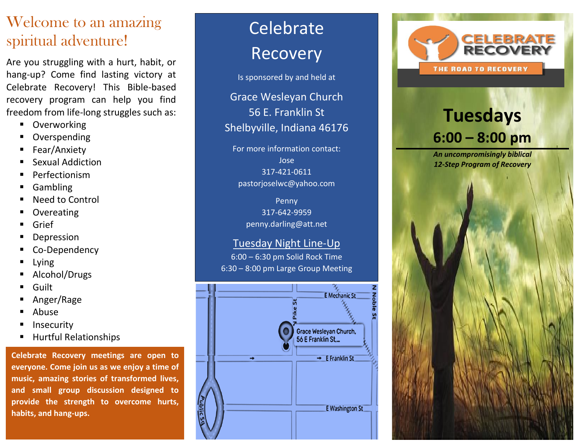## Welcome to an amazing spiritual adventure!

Are you struggling with a hurt, habit, or hang -up? Come find lasting victory at Celebrate Recovery! This Bible -based recovery program can help you find freedom from life -long struggles such as:

- Overworking
- **Overspending**
- Fear/Anxiety
- **Sexual Addiction**
- Perfectionism
- **Gambling**
- **Need to Control**
- **Overeating**
- **Grief**
- **Depression**
- Co-Dependency
- **Lying**
- Alcohol/Drugs
- **Guilt**
- Anger/Rage
- **Abuse**
- **Insecurity**
- **Hurtful Relationships**

**Celebrate Recovery meetings are open to everyone. Come join us as we enjoy a time of music, amazing stories of transformed lives, and small group discussion designed to provide the strength to overcome hurts, habits, and hang -ups.**

# Celebrate Recovery

Is sponsored by and held at

Grace Wesleyan Church 56 E. Franklin St Shelbyville, Indiana 46176

For more information contact: Jose 317 -421 -0611 pastorjoselwc@yahoo.com

> Penny 317 -642 -9959 penny.darling@att.net

#### Tuesday Night Line -Up

6:00 – 6:30 pm Solid Rock Time 6:30 - 8:00 pm Large Group Meeting





# **Tuesdays 6: 00 – 8: 00 pm**

*An uncompromisingly biblical 12 -Step Program of Recovery*